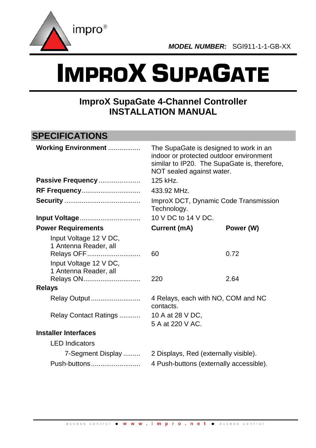

# IMPROX SUPAGATE

# **ImproX SupaGate 4-Channel Controller INSTALLATION MANUAL**

# **SPECIFICATIONS**

| <b>Working Environment </b><br>Passive Frequency                                                                              | The SupaGate is designed to work in an<br>indoor or protected outdoor environment<br>similar to IP20. The SupaGate is, therefore,<br>NOT sealed against water.<br>125 kHz. |              |  |  |  |
|-------------------------------------------------------------------------------------------------------------------------------|----------------------------------------------------------------------------------------------------------------------------------------------------------------------------|--------------|--|--|--|
| <b>RF Frequency</b>                                                                                                           | 433.92 MHz.                                                                                                                                                                |              |  |  |  |
|                                                                                                                               | ImproX DCT, Dynamic Code Transmission<br>Technology.                                                                                                                       |              |  |  |  |
| Input Voltage                                                                                                                 | 10 V DC to 14 V DC.                                                                                                                                                        |              |  |  |  |
| <b>Power Requirements</b>                                                                                                     | Current (mA)                                                                                                                                                               | Power (W)    |  |  |  |
| Input Voltage 12 V DC,<br>1 Antenna Reader, all<br>Relays OFF<br>Input Voltage 12 V DC,<br>1 Antenna Reader, all<br>Relays ON | 60<br>220                                                                                                                                                                  | 0.72<br>2.64 |  |  |  |
| <b>Relays</b>                                                                                                                 |                                                                                                                                                                            |              |  |  |  |
| Relay Output<br>Relay Contact Ratings                                                                                         | 4 Relays, each with NO, COM and NC<br>contacts.<br>10 A at 28 V DC,                                                                                                        |              |  |  |  |
|                                                                                                                               | 5 A at 220 V AC.                                                                                                                                                           |              |  |  |  |
| <b>Installer Interfaces</b>                                                                                                   |                                                                                                                                                                            |              |  |  |  |
| <b>LED</b> Indicators                                                                                                         |                                                                                                                                                                            |              |  |  |  |
| 7-Segment Display                                                                                                             | 2 Displays, Red (externally visible).                                                                                                                                      |              |  |  |  |
| Push-buttons                                                                                                                  | 4 Push-buttons (externally accessible).                                                                                                                                    |              |  |  |  |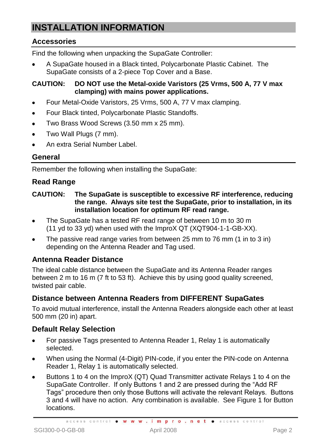# **INSTALLATION INFORMATION**

## **Accessories**

Find the following when unpacking the SupaGate Controller:

A SupaGate housed in a Black tinted, Polycarbonate Plastic Cabinet. The SupaGate consists of a 2-piece Top Cover and a Base.

#### **CAUTION: DO NOT use the Metal-oxide Varistors (25 Vrms, 500 A, 77 V max clamping) with mains power applications.**

- Four Metal-Oxide Varistors, 25 Vrms, 500 A, 77 V max clamping.
- Four Black tinted, Polycarbonate Plastic Standoffs.
- Two Brass Wood Screws (3.50 mm x 25 mm).  $\bullet$
- Two Wall Plugs (7 mm).  $\bullet$
- An extra Serial Number Label.

#### **General**

Remember the following when installing the SupaGate:

#### **Read Range**

#### **CAUTION: The SupaGate is susceptible to excessive RF interference, reducing the range. Always site test the SupaGate, prior to installation, in its installation location for optimum RF read range.**

- The SupaGate has a tested RF read range of between 10 m to 30 m  $\bullet$ (11 yd to 33 yd) when used with the ImproX QT (XQT904-1-1-GB-XX).
- The passive read range varies from between 25 mm to 76 mm (1 in to 3 in) depending on the Antenna Reader and Tag used.

#### **Antenna Reader Distance**

The ideal cable distance between the SupaGate and its Antenna Reader ranges between 2 m to 16 m (7 ft to 53 ft). Achieve this by using good quality screened, twisted pair cable.

#### **Distance between Antenna Readers from DIFFERENT SupaGates**

To avoid mutual interference, install the Antenna Readers alongside each other at least 500 mm (20 in) apart.

#### **Default Relay Selection**

- For passive Tags presented to Antenna Reader 1, Relay 1 is automatically selected.
- When using the Normal (4-Digit) PIN-code, if you enter the PIN-code on Antenna Reader 1, Relay 1 is automatically selected.
- Buttons 1 to 4 on the ImproX (QT) Quad Transmitter activate Relays 1 to 4 on the SupaGate Controller. If only Buttons 1 and 2 are pressed during the "Add RF Tags" procedure then only those Buttons will activate the relevant Relays. Buttons 3 and 4 will have no action. Any combination is available. See [Figure 1](#page-2-0) for Button locations.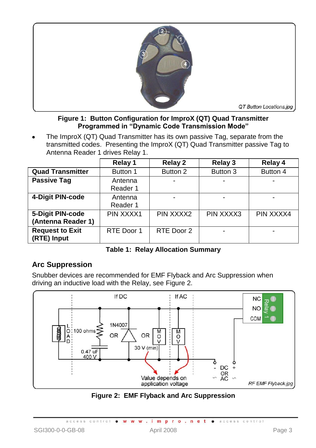

#### **Figure 1: Button Configuration for ImproX (QT) Quad Transmitter Programmed in "Dynamic Code Transmission Mode"**

<span id="page-2-0"></span>The ImproX (QT) Quad Transmitter has its own passive Tag, separate from the transmitted codes. Presenting the ImproX (QT) Quad Transmitter passive Tag to Antenna Reader 1 drives Relay 1.

|                         | Relay 1    | <b>Relay 2</b> | Relay 3   | Relay 4   |
|-------------------------|------------|----------------|-----------|-----------|
| <b>Quad Transmitter</b> | Button 1   | Button 2       | Button 3  | Button 4  |
| <b>Passive Tag</b>      | Antenna    | -              |           |           |
|                         | Reader 1   |                |           |           |
| 4-Digit PIN-code        | Antenna    |                |           |           |
|                         | Reader 1   |                |           |           |
| 5-Digit PIN-code        | PIN XXXX1  | PIN XXXX2      | PIN XXXX3 | PIN XXXX4 |
| (Antenna Reader 1)      |            |                |           |           |
| <b>Request to Exit</b>  | RTE Door 1 | RTE Door 2     |           |           |
| (RTE) Input             |            |                |           |           |

**Table 1: Relay Allocation Summary**

# **Arc Suppression**

Snubber devices are recommended for EMF Flyback and Arc Suppression when driving an inductive load with the Relay, see [Figure 2.](#page-2-1)



<span id="page-2-1"></span>**Figure 2: EMF Flyback and Arc Suppression**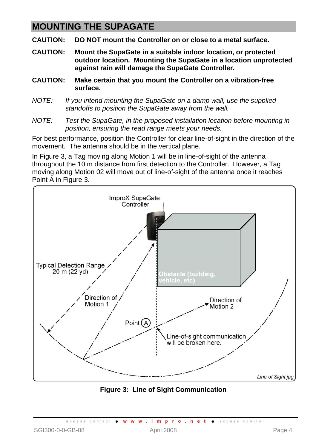# **MOUNTING THE SUPAGATE**

**CAUTION: DO NOT mount the Controller on or close to a metal surface.**

- **CAUTION: Mount the SupaGate in a suitable indoor location, or protected outdoor location. Mounting the SupaGate in a location unprotected against rain will damage the SupaGate Controller.**
- **CAUTION: Make certain that you mount the Controller on a vibration-free surface.**
- *NOTE: If you intend mounting the SupaGate on a damp wall, use the supplied standoffs to position the SupaGate away from the wall.*
- *NOTE: Test the SupaGate, in the proposed installation location before mounting in position, ensuring the read range meets your needs.*

For best performance, position the Controller for clear line-of-sight in the direction of the movement. The antenna should be in the vertical plane.

In [Figure 3,](#page-3-0) a Tag moving along Motion 1 will be in line-of-sight of the antenna throughout the 10 m distance from first detection to the Controller. However, a Tag moving along Motion 02 will move out of line-of-sight of the antenna once it reaches Point A in [Figure 3.](#page-3-0)



<span id="page-3-0"></span>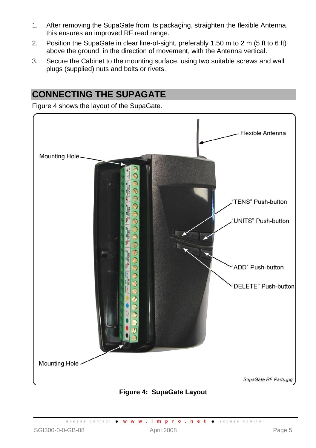- 1. After removing the SupaGate from its packaging, straighten the flexible Antenna, this ensures an improved RF read range.
- 2. Position the SupaGate in clear line-of-sight, preferably 1.50 m to 2 m (5 ft to 6 ft) above the ground, in the direction of movement, with the Antenna vertical.
- 3. Secure the Cabinet to the mounting surface, using two suitable screws and wall plugs (supplied) nuts and bolts or rivets.

# **CONNECTING THE SUPAGATE**

[Figure 4](#page-4-0) shows the layout of the SupaGate.



#### **Figure 4: SupaGate Layout**

<span id="page-4-0"></span>access control . W W W . impro.net . access control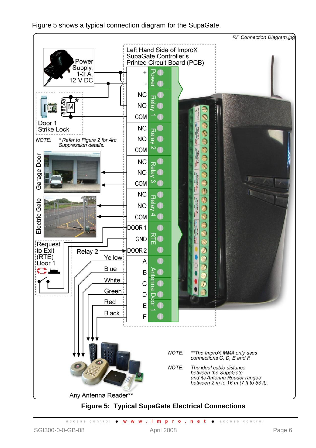

[Figure 5](#page-5-0) shows a typical connection diagram for the SupaGate.

# **Figure 5: Typical SupaGate Electrical Connections**

NOTE:

The ideal cable distance between the SupaGate and its Antenna Reader ranges between  $2 \, \text{m}$  to  $16 \, \text{m}$  (7 ft to 53 ft).

<span id="page-5-0"></span>Any Antenna Reader\*\*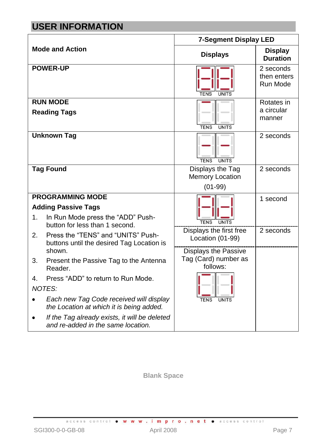# **USER INFORMATION**

|    |                                                                                     | <b>7-Segment Display LED</b>                |                                      |  |  |  |  |
|----|-------------------------------------------------------------------------------------|---------------------------------------------|--------------------------------------|--|--|--|--|
|    | <b>Mode and Action</b>                                                              | <b>Displays</b>                             | <b>Display</b><br><b>Duration</b>    |  |  |  |  |
|    | <b>POWER-UP</b>                                                                     | <b>TENS</b><br><b>UNITS</b>                 | 2 seconds<br>then enters<br>Run Mode |  |  |  |  |
|    | <b>RUN MODE</b>                                                                     |                                             | Rotates in                           |  |  |  |  |
|    | <b>Reading Tags</b>                                                                 | <b>TENS</b><br><b>UNITS</b>                 | a circular<br>manner                 |  |  |  |  |
|    | <b>Unknown Tag</b>                                                                  | <b>TENS</b><br><b>UNITS</b>                 | 2 seconds                            |  |  |  |  |
|    | <b>Tag Found</b>                                                                    | Displays the Tag                            | 2 seconds                            |  |  |  |  |
|    |                                                                                     | <b>Memory Location</b>                      |                                      |  |  |  |  |
|    |                                                                                     | $(01-99)$                                   |                                      |  |  |  |  |
|    | <b>PROGRAMMING MODE</b>                                                             |                                             | 1 second                             |  |  |  |  |
|    | <b>Adding Passive Tags</b>                                                          |                                             |                                      |  |  |  |  |
| 1. | In Run Mode press the "ADD" Push-<br>button for less than 1 second.                 | <b>TENS</b><br><b>UNITS</b>                 |                                      |  |  |  |  |
| 2. | Press the "TENS" and "UNITS" Push-<br>buttons until the desired Tag Location is     | Displays the first free<br>Location (01-99) | 2 seconds                            |  |  |  |  |
|    | shown.                                                                              | Displays the Passive                        |                                      |  |  |  |  |
| 3. | Present the Passive Tag to the Antenna<br>Reader.                                   | Tag (Card) number as<br>follows:            |                                      |  |  |  |  |
| 4. | Press "ADD" to return to Run Mode.<br><b>NOTES:</b>                                 |                                             |                                      |  |  |  |  |
|    | Each new Tag Code received will display<br>the Location at which it is being added. | <b>UNITS</b><br><b>TFNS</b>                 |                                      |  |  |  |  |
|    | If the Tag already exists, it will be deleted<br>and re-added in the same location. |                                             |                                      |  |  |  |  |

**Blank Space**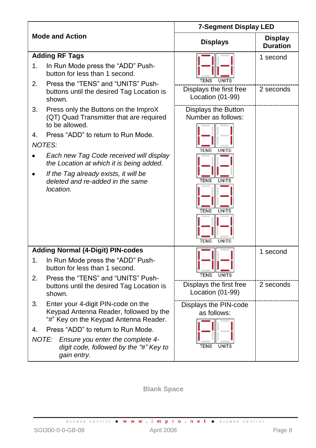|                      |                                                                                                                                                                                                                                                                                                                                                                                                                                                                                                                                        | <b>7-Segment Display LED</b>                                                                                                                                                                                         |                                   |
|----------------------|----------------------------------------------------------------------------------------------------------------------------------------------------------------------------------------------------------------------------------------------------------------------------------------------------------------------------------------------------------------------------------------------------------------------------------------------------------------------------------------------------------------------------------------|----------------------------------------------------------------------------------------------------------------------------------------------------------------------------------------------------------------------|-----------------------------------|
|                      | <b>Mode and Action</b>                                                                                                                                                                                                                                                                                                                                                                                                                                                                                                                 | <b>Displays</b>                                                                                                                                                                                                      | <b>Display</b><br><b>Duration</b> |
| 1.<br>2.<br>3.<br>4. | <b>Adding RF Tags</b><br>In Run Mode press the "ADD" Push-<br>button for less than 1 second.<br>Press the "TENS" and "UNITS" Push-<br>buttons until the desired Tag Location is<br>shown.<br>Press only the Buttons on the ImproX<br>(QT) Quad Transmitter that are required<br>to be allowed.<br>Press "ADD" to return to Run Mode.<br><b>NOTES:</b><br>Each new Tag Code received will display<br>the Location at which it is being added.<br>If the Tag already exists, it will be<br>deleted and re-added in the same<br>location. | <b>TENS</b><br><b>UNITS</b><br>Displays the first free<br>Location (01-99)<br>Displays the Button<br>Number as follows:<br><b>TENS</b><br><b>UNITS</b><br><b>TENS</b><br><b>UNITS</b><br><b>TENS</b><br><b>UNITS</b> | 1 second<br>2 seconds             |
|                      | <b>Adding Normal (4-Digit) PIN-codes</b>                                                                                                                                                                                                                                                                                                                                                                                                                                                                                               | <b>UNITS</b><br><b>TENS</b>                                                                                                                                                                                          | 1 second                          |
| 1.<br>2.             | In Run Mode press the "ADD" Push-<br>button for less than 1 second.<br>Press the "TENS" and "UNITS" Push-                                                                                                                                                                                                                                                                                                                                                                                                                              | <b>TENS</b><br><b>UNITS</b>                                                                                                                                                                                          |                                   |
|                      | buttons until the desired Tag Location is<br>shown.                                                                                                                                                                                                                                                                                                                                                                                                                                                                                    | Displays the first free<br>Location (01-99)                                                                                                                                                                          | 2 seconds                         |
| 3.<br>4.             | Enter your 4-digit PIN-code on the<br>Keypad Antenna Reader, followed by the<br>"#" Key on the Keypad Antenna Reader.<br>Press "ADD" to return to Run Mode.                                                                                                                                                                                                                                                                                                                                                                            | Displays the PIN-code<br>as follows:                                                                                                                                                                                 |                                   |
|                      | NOTE: Ensure you enter the complete 4-<br>digit code, followed by the "#" Key to<br>gain entry.                                                                                                                                                                                                                                                                                                                                                                                                                                        | <b>TENS</b><br><b>UNITS</b>                                                                                                                                                                                          |                                   |

**Blank Space**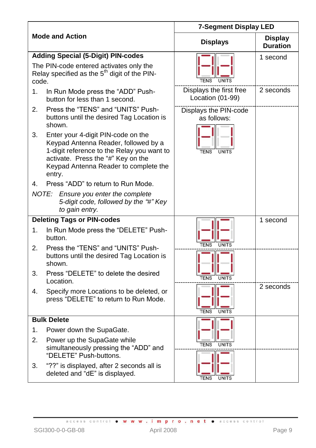|       |                                                                                                                                                                                                                   | <b>7-Segment Display LED</b>                |                                   |  |  |  |
|-------|-------------------------------------------------------------------------------------------------------------------------------------------------------------------------------------------------------------------|---------------------------------------------|-----------------------------------|--|--|--|
|       | <b>Mode and Action</b>                                                                                                                                                                                            | <b>Displays</b>                             | <b>Display</b><br><b>Duration</b> |  |  |  |
|       | <b>Adding Special (5-Digit) PIN-codes</b>                                                                                                                                                                         |                                             | 1 second                          |  |  |  |
| code. | The PIN-code entered activates only the<br>Relay specified as the $5th$ digit of the PIN-                                                                                                                         |                                             |                                   |  |  |  |
| 1.    | In Run Mode press the "ADD" Push-<br>button for less than 1 second.                                                                                                                                               | Displays the first free<br>Location (01-99) | 2 seconds                         |  |  |  |
| 2.    | Press the "TENS" and "UNITS" Push-<br>buttons until the desired Tag Location is<br>shown.                                                                                                                         | Displays the PIN-code<br>as follows:        |                                   |  |  |  |
| 3.    | Enter your 4-digit PIN-code on the<br>Keypad Antenna Reader, followed by a<br>1-digit reference to the Relay you want to<br>activate. Press the "#" Key on the<br>Keypad Antenna Reader to complete the<br>entry. | <b>TENS</b><br><b>UNITS</b>                 |                                   |  |  |  |
| 4.    | Press "ADD" to return to Run Mode.                                                                                                                                                                                |                                             |                                   |  |  |  |
|       | NOTE:<br>Ensure you enter the complete<br>5-digit code, followed by the "#" Key<br>to gain entry.                                                                                                                 |                                             |                                   |  |  |  |
|       | <b>Deleting Tags or PIN-codes</b>                                                                                                                                                                                 |                                             | 1 second                          |  |  |  |
| 1.    | In Run Mode press the "DELETE" Push-<br>button.                                                                                                                                                                   |                                             |                                   |  |  |  |
| 2.    | Press the "TENS" and "UNITS" Push-<br>buttons until the desired Tag Location is<br>shown.                                                                                                                         | <b>TENS</b><br><b>UNITS</b>                 |                                   |  |  |  |
| 3.    | Press "DELETE" to delete the desired<br>Location.                                                                                                                                                                 | <b>TENS</b><br><b>UNITS</b>                 | 2 seconds                         |  |  |  |
| 4.    | Specify more Locations to be deleted, or<br>press "DELETE" to return to Run Mode.                                                                                                                                 | <b>TENS</b><br><b>UNITS</b>                 |                                   |  |  |  |
|       | <b>Bulk Delete</b>                                                                                                                                                                                                |                                             |                                   |  |  |  |
| 1.    | Power down the SupaGate.                                                                                                                                                                                          |                                             |                                   |  |  |  |
| 2.    | Power up the SupaGate while<br>simultaneously pressing the "ADD" and<br>"DELETE" Push-buttons.                                                                                                                    | <b>TENS</b><br><b>UNITS</b>                 |                                   |  |  |  |
| 3.    | "??" is displayed, after 2 seconds all is<br>deleted and "dE" is displayed.                                                                                                                                       | <b>TENS</b><br><b>UNITS</b>                 |                                   |  |  |  |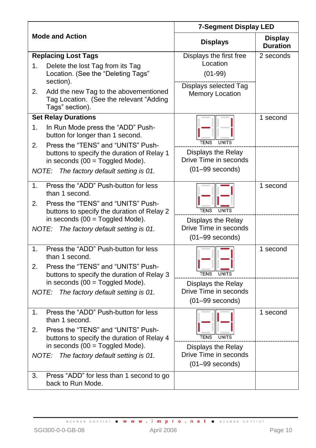|                     |                                                                                                                                            | <b>7-Segment Display LED</b>                                              |                                   |  |  |  |
|---------------------|--------------------------------------------------------------------------------------------------------------------------------------------|---------------------------------------------------------------------------|-----------------------------------|--|--|--|
|                     | <b>Mode and Action</b>                                                                                                                     | <b>Displays</b>                                                           | <b>Display</b><br><b>Duration</b> |  |  |  |
| 1.                  | <b>Replacing Lost Tags</b><br>Delete the lost Tag from its Tag<br>Location. (See the "Deleting Tags"<br>section).                          | Displays the first free<br>Location<br>$(01-99)$<br>Displays selected Tag | 2 seconds                         |  |  |  |
| 2.                  | Add the new Tag to the abovementioned<br>Tag Location. (See the relevant "Adding<br>Tags" section).                                        | Memory Location                                                           |                                   |  |  |  |
|                     | <b>Set Relay Durations</b>                                                                                                                 |                                                                           | 1 second                          |  |  |  |
| 1.                  | In Run Mode press the "ADD" Push-<br>button for longer than 1 second.                                                                      | <b>TENS</b><br><b>UNITS</b>                                               |                                   |  |  |  |
| 2.                  | Press the "TENS" and "UNITS" Push-<br>buttons to specify the duration of Relay 1<br>in seconds $(00 = Toggled Mode)$ .                     | Displays the Relay<br>Drive Time in seconds                               |                                   |  |  |  |
| <b>NOTE:</b>        | The factory default setting is 01.                                                                                                         | $(01-99$ seconds)                                                         |                                   |  |  |  |
| $\mathbf 1$ .<br>2. | Press the "ADD" Push-button for less<br>than 1 second.<br>Press the "TENS" and "UNITS" Push-<br>buttons to specify the duration of Relay 2 | <b>TENS</b><br><b>UNITS</b>                                               | 1 second                          |  |  |  |
| NOTE:               | in seconds $(00 = Toggled Mode)$ .<br>The factory default setting is 01.                                                                   | Displays the Relay<br>Drive Time in seconds<br>$(01-99$ seconds)          |                                   |  |  |  |
| 1.<br>2.            | Press the "ADD" Push-button for less<br>than 1 second.<br>Press the "TENS" and "UNITS" Push-<br>buttons to specify the duration of Relay 3 | TENS                                                                      | 1 second                          |  |  |  |
| NOTE:               | in seconds $(00 = Toggled Mode)$ .<br>The factory default setting is 01.                                                                   | Displays the Relay<br>Drive Time in seconds<br>$(01-99$ seconds)          |                                   |  |  |  |
| 1.<br>2.            | Press the "ADD" Push-button for less<br>than 1 second.<br>Press the "TENS" and "UNITS" Push-<br>buttons to specify the duration of Relay 4 | <b>TENS</b><br><b>UNITS</b>                                               | 1 second                          |  |  |  |
|                     | in seconds $(00 = Toggled Mode)$ .<br>NOTE: The factory default setting is 01.                                                             | Displays the Relay<br>Drive Time in seconds<br>$(01-99$ seconds)          |                                   |  |  |  |
| 3.                  | Press "ADD" for less than 1 second to go<br>back to Run Mode.                                                                              |                                                                           |                                   |  |  |  |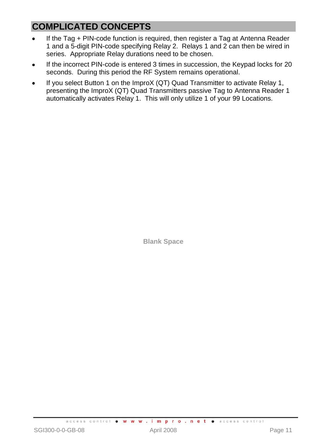# **COMPLICATED CONCEPTS**

- If the Tag + PIN-code function is required, then register a Tag at Antenna Reader 1 and a 5-digit PIN-code specifying Relay 2. Relays 1 and 2 can then be wired in series. Appropriate Relay durations need to be chosen.
- If the incorrect PIN-code is entered 3 times in succession, the Keypad locks for 20 seconds. During this period the RF System remains operational.
- If you select Button 1 on the ImproX (QT) Quad Transmitter to activate Relay 1,  $\bullet$ presenting the ImproX (QT) Quad Transmitters passive Tag to Antenna Reader 1 automatically activates Relay 1. This will only utilize 1 of your 99 Locations.

**Blank Space**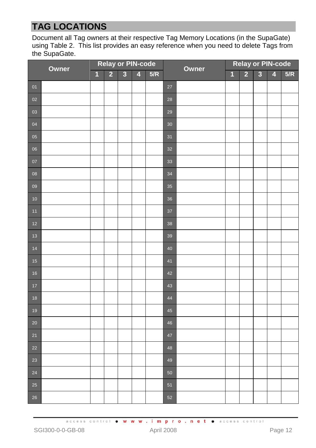# **TAG LOCATIONS**

Document all Tag owners at their respective Tag Memory Locations (in the SupaGate) usin[g Table 2.](#page-12-0) This list provides an easy reference when you need to delete Tags from the SupaGate.

| Owner           |  | <b>Relay or PIN-code</b> |                |                         |   |     | Owner  |  | <b>Relay or PIN-code</b> |                         |                         |                         |     |
|-----------------|--|--------------------------|----------------|-------------------------|---|-----|--------|--|--------------------------|-------------------------|-------------------------|-------------------------|-----|
|                 |  | $\overline{\mathbf{1}}$  | $\overline{2}$ | $\overline{\mathbf{3}}$ | 4 | 5/R |        |  | $\overline{\mathbf{1}}$  | $\overline{\mathbf{2}}$ | $\overline{\mathbf{3}}$ | $\overline{\mathbf{4}}$ | 5/R |
| 01              |  |                          |                |                         |   |     | 27     |  |                          |                         |                         |                         |     |
| 02              |  |                          |                |                         |   |     | 28     |  |                          |                         |                         |                         |     |
| 03              |  |                          |                |                         |   |     | 29     |  |                          |                         |                         |                         |     |
| 04              |  |                          |                |                         |   |     | 30     |  |                          |                         |                         |                         |     |
| $\overline{05}$ |  |                          |                |                         |   |     | 31     |  |                          |                         |                         |                         |     |
| 06              |  |                          |                |                         |   |     | 32     |  |                          |                         |                         |                         |     |
| $\overline{07}$ |  |                          |                |                         |   |     | 33     |  |                          |                         |                         |                         |     |
| 08              |  |                          |                |                         |   |     | 34     |  |                          |                         |                         |                         |     |
| 09              |  |                          |                |                         |   |     | 35     |  |                          |                         |                         |                         |     |
| 10              |  |                          |                |                         |   |     | 36     |  |                          |                         |                         |                         |     |
| $11$            |  |                          |                |                         |   |     | $37\,$ |  |                          |                         |                         |                         |     |
| $12$            |  |                          |                |                         |   |     | 38     |  |                          |                         |                         |                         |     |
| $13$            |  |                          |                |                         |   |     | 39     |  |                          |                         |                         |                         |     |
| $14$            |  |                          |                |                         |   |     | 40     |  |                          |                         |                         |                         |     |
| 15              |  |                          |                |                         |   |     | 41     |  |                          |                         |                         |                         |     |
| 16              |  |                          |                |                         |   |     | 42     |  |                          |                         |                         |                         |     |
| $17$            |  |                          |                |                         |   |     | 43     |  |                          |                         |                         |                         |     |
| 18              |  |                          |                |                         |   |     | 44     |  |                          |                         |                         |                         |     |
| 19              |  |                          |                |                         |   |     | 45     |  |                          |                         |                         |                         |     |
| $20\,$          |  |                          |                |                         |   |     | 46     |  |                          |                         |                         |                         |     |
| 21              |  |                          |                |                         |   |     | 47     |  |                          |                         |                         |                         |     |
| 22              |  |                          |                |                         |   |     | 48     |  |                          |                         |                         |                         |     |
| 23              |  |                          |                |                         |   |     | 49     |  |                          |                         |                         |                         |     |
| 24              |  |                          |                |                         |   |     | 50     |  |                          |                         |                         |                         |     |
| 25              |  |                          |                |                         |   |     | 51     |  |                          |                         |                         |                         |     |
| 26              |  |                          |                |                         |   |     | 52     |  |                          |                         |                         |                         |     |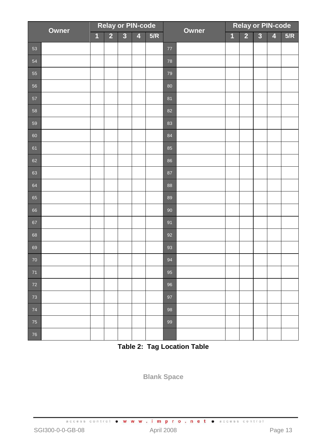| Owner |  | <b>Relay or PIN-code</b> |                |                         |                         |     | Owner  |  | <b>Relay or PIN-code</b> |                |                         |                         |     |
|-------|--|--------------------------|----------------|-------------------------|-------------------------|-----|--------|--|--------------------------|----------------|-------------------------|-------------------------|-----|
|       |  | $\overline{1}$           | $\overline{2}$ | $\overline{\mathbf{3}}$ | $\overline{\mathbf{4}}$ | 5/R |        |  | $\overline{1}$           | $\overline{2}$ | $\overline{\mathbf{3}}$ | $\overline{\mathbf{4}}$ | 5/R |
| 53    |  |                          |                |                         |                         |     | $77\,$ |  |                          |                |                         |                         |     |
| 54    |  |                          |                |                         |                         |     | 78     |  |                          |                |                         |                         |     |
| 55    |  |                          |                |                         |                         |     | 79     |  |                          |                |                         |                         |     |
| 56    |  |                          |                |                         |                         |     | 80     |  |                          |                |                         |                         |     |
| 57    |  |                          |                |                         |                         |     | 81     |  |                          |                |                         |                         |     |
| 58    |  |                          |                |                         |                         |     | 82     |  |                          |                |                         |                         |     |
| 59    |  |                          |                |                         |                         |     | 83     |  |                          |                |                         |                         |     |
| 60    |  |                          |                |                         |                         |     | 84     |  |                          |                |                         |                         |     |
| 61    |  |                          |                |                         |                         |     | 85     |  |                          |                |                         |                         |     |
| 62    |  |                          |                |                         |                         |     | 86     |  |                          |                |                         |                         |     |
| 63    |  |                          |                |                         |                         |     | 87     |  |                          |                |                         |                         |     |
| 64    |  |                          |                |                         |                         |     | 88     |  |                          |                |                         |                         |     |
| 65    |  |                          |                |                         |                         |     | 89     |  |                          |                |                         |                         |     |
| 66    |  |                          |                |                         |                         |     | 90     |  |                          |                |                         |                         |     |
| 67    |  |                          |                |                         |                         |     | 91     |  |                          |                |                         |                         |     |
| 68    |  |                          |                |                         |                         |     | 92     |  |                          |                |                         |                         |     |
| 69    |  |                          |                |                         |                         |     | 93     |  |                          |                |                         |                         |     |
| 70    |  |                          |                |                         |                         |     | 94     |  |                          |                |                         |                         |     |
| $71$  |  |                          |                |                         |                         |     | 95     |  |                          |                |                         |                         |     |
| 72    |  |                          |                |                         |                         |     | 96     |  |                          |                |                         |                         |     |
| 73    |  |                          |                |                         |                         |     | 97     |  |                          |                |                         |                         |     |
| 74    |  |                          |                |                         |                         |     | 98     |  |                          |                |                         |                         |     |
| 75    |  |                          |                |                         |                         |     | 99     |  |                          |                |                         |                         |     |
| 76    |  |                          |                |                         |                         |     |        |  |                          |                |                         |                         |     |

<span id="page-12-0"></span>**Table 2: Tag Location Table**

**Blank Space**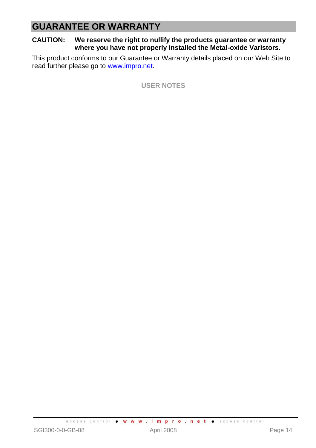# **GUARANTEE OR WARRANTY**

#### **CAUTION: We reserve the right to nullify the products guarantee or warranty where you have not properly installed the Metal-oxide Varistors.**

This product conforms to our Guarantee or Warranty details placed on our Web Site to read further please go to [www.impro.net.](http://www.impro.net/)

**USER NOTES**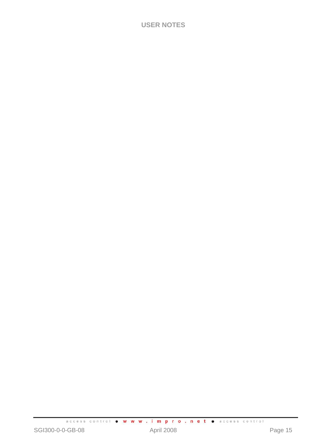## **USER NOTES**